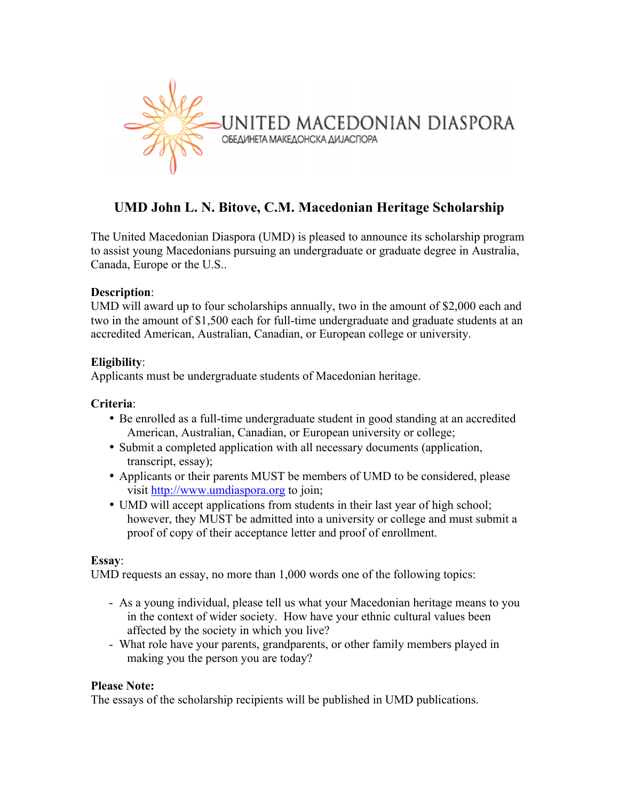

# **UMD John L. N. Bitove, C.M. Macedonian Heritage Scholarship**

The United Macedonian Diaspora (UMD) is pleased to announce its scholarship program to assist young Macedonians pursuing an undergraduate or graduate degree in Australia, Canada, Europe or the U.S..

#### **Description**:

UMD will award up to four scholarships annually, two in the amount of \$2,000 each and two in the amount of \$1,500 each for full-time undergraduate and graduate students at an accredited American, Australian, Canadian, or European college or university.

### **Eligibility**:

Applicants must be undergraduate students of Macedonian heritage.

#### **Criteria**:

- Be enrolled as a full-time undergraduate student in good standing at an accredited American, Australian, Canadian, or European university or college;
- Submit a completed application with all necessary documents (application, transcript, essay);
- Applicants or their parents MUST be members of UMD to be considered, please visit http://www.umdiaspora.org to join;
- UMD will accept applications from students in their last year of high school; however, they MUST be admitted into a university or college and must submit a proof of copy of their acceptance letter and proof of enrollment.

#### **Essay**:

UMD requests an essay, no more than 1,000 words one of the following topics:

- As a young individual, please tell us what your Macedonian heritage means to you in the context of wider society. How have your ethnic cultural values been affected by the society in which you live?
- What role have your parents, grandparents, or other family members played in making you the person you are today?

#### **Please Note:**

The essays of the scholarship recipients will be published in UMD publications.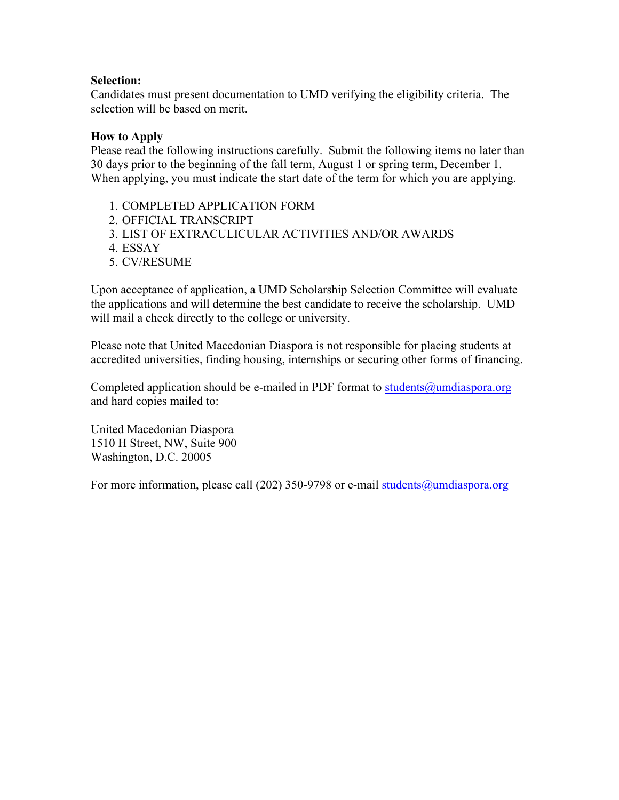#### **Selection:**

Candidates must present documentation to UMD verifying the eligibility criteria. The selection will be based on merit.

#### **How to Apply**

Please read the following instructions carefully. Submit the following items no later than 30 days prior to the beginning of the fall term, August 1 or spring term, December 1. When applying, you must indicate the start date of the term for which you are applying.

- 1. COMPLETED APPLICATION FORM
- 2. OFFICIAL TRANSCRIPT
- 3. LIST OF EXTRACULICULAR ACTIVITIES AND/OR AWARDS
- 4. ESSAY
- 5. CV/RESUME

Upon acceptance of application, a UMD Scholarship Selection Committee will evaluate the applications and will determine the best candidate to receive the scholarship. UMD will mail a check directly to the college or university.

Please note that United Macedonian Diaspora is not responsible for placing students at accredited universities, finding housing, internships or securing other forms of financing.

Completed application should be e-mailed in PDF format to students@umdiaspora.org and hard copies mailed to:

United Macedonian Diaspora 1510 H Street, NW, Suite 900 Washington, D.C. 20005

For more information, please call (202) 350-9798 or e-mail students@umdiaspora.org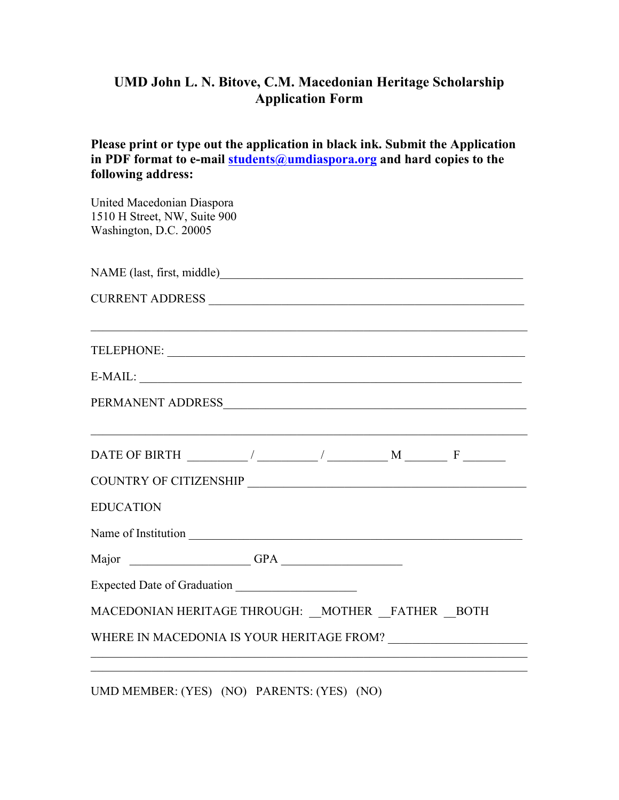## **UMD John L. N. Bitove, C.M. Macedonian Heritage Scholarship Application Form**

**Please print or type out the application in black ink. Submit the Application in PDF format to e-mail students@umdiaspora.org and hard copies to the following address:**

| United Macedonian Diaspora<br>1510 H Street, NW, Suite 900<br>Washington, D.C. 20005                                                                                                                                                                                                                                                                                                                               |  |  |
|--------------------------------------------------------------------------------------------------------------------------------------------------------------------------------------------------------------------------------------------------------------------------------------------------------------------------------------------------------------------------------------------------------------------|--|--|
|                                                                                                                                                                                                                                                                                                                                                                                                                    |  |  |
|                                                                                                                                                                                                                                                                                                                                                                                                                    |  |  |
| TELEPHONE:                                                                                                                                                                                                                                                                                                                                                                                                         |  |  |
|                                                                                                                                                                                                                                                                                                                                                                                                                    |  |  |
|                                                                                                                                                                                                                                                                                                                                                                                                                    |  |  |
| DATE OF BIRTH $\frac{1}{\sqrt{1-\frac{1}{2}}}\frac{1}{\sqrt{1-\frac{1}{2}}}\frac{1}{\sqrt{1-\frac{1}{2}}}\frac{1}{\sqrt{1-\frac{1}{2}}}\frac{1}{\sqrt{1-\frac{1}{2}}}\frac{1}{\sqrt{1-\frac{1}{2}}}\frac{1}{\sqrt{1-\frac{1}{2}}}\frac{1}{\sqrt{1-\frac{1}{2}}}\frac{1}{\sqrt{1-\frac{1}{2}}}\frac{1}{\sqrt{1-\frac{1}{2}}}\frac{1}{\sqrt{1-\frac{1}{2}}}\frac{1}{\sqrt{1-\frac{1}{2}}}\frac{1}{\sqrt{1-\frac{1}{$ |  |  |
|                                                                                                                                                                                                                                                                                                                                                                                                                    |  |  |
| <b>EDUCATION</b>                                                                                                                                                                                                                                                                                                                                                                                                   |  |  |
|                                                                                                                                                                                                                                                                                                                                                                                                                    |  |  |
|                                                                                                                                                                                                                                                                                                                                                                                                                    |  |  |
|                                                                                                                                                                                                                                                                                                                                                                                                                    |  |  |
| MACEDONIAN HERITAGE THROUGH: MOTHER FATHER BOTH                                                                                                                                                                                                                                                                                                                                                                    |  |  |
| WHERE IN MACEDONIA IS YOUR HERITAGE FROM?                                                                                                                                                                                                                                                                                                                                                                          |  |  |
|                                                                                                                                                                                                                                                                                                                                                                                                                    |  |  |

UMD MEMBER: (YES) (NO) PARENTS: (YES) (NO)